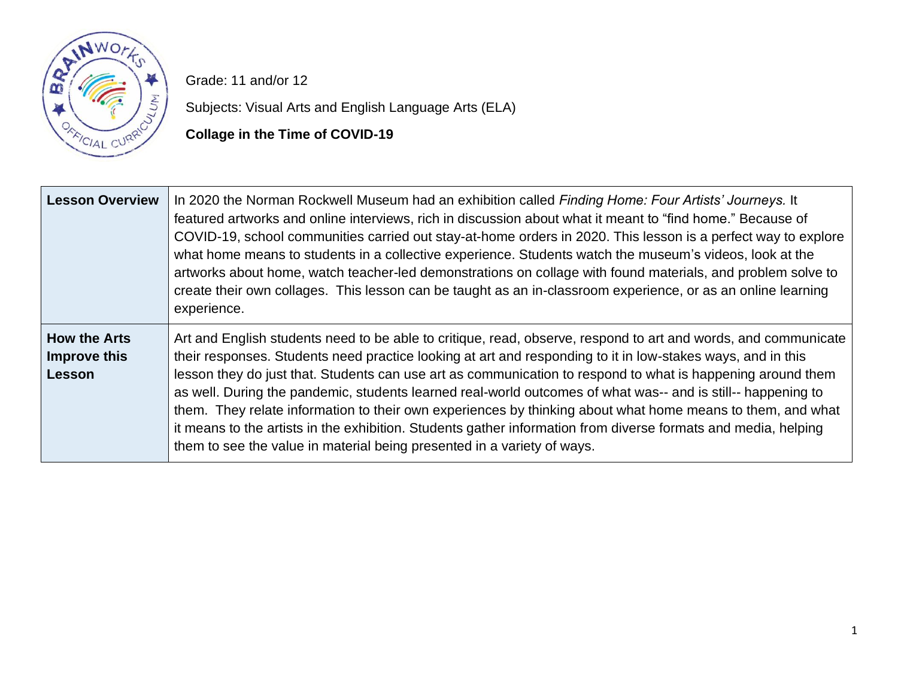

Grade: 11 and/or 12

Subjects: Visual Arts and English Language Arts (ELA)

**Collage in the Time of COVID-19**

| <b>Lesson Overview</b>                               | In 2020 the Norman Rockwell Museum had an exhibition called Finding Home: Four Artists' Journeys. It<br>featured artworks and online interviews, rich in discussion about what it meant to "find home." Because of<br>COVID-19, school communities carried out stay-at-home orders in 2020. This lesson is a perfect way to explore<br>what home means to students in a collective experience. Students watch the museum's videos, look at the<br>artworks about home, watch teacher-led demonstrations on collage with found materials, and problem solve to<br>create their own collages. This lesson can be taught as an in-classroom experience, or as an online learning<br>experience.                                                                            |
|------------------------------------------------------|-------------------------------------------------------------------------------------------------------------------------------------------------------------------------------------------------------------------------------------------------------------------------------------------------------------------------------------------------------------------------------------------------------------------------------------------------------------------------------------------------------------------------------------------------------------------------------------------------------------------------------------------------------------------------------------------------------------------------------------------------------------------------|
| <b>How the Arts</b><br>Improve this<br><b>Lesson</b> | Art and English students need to be able to critique, read, observe, respond to art and words, and communicate<br>their responses. Students need practice looking at art and responding to it in low-stakes ways, and in this<br>lesson they do just that. Students can use art as communication to respond to what is happening around them<br>as well. During the pandemic, students learned real-world outcomes of what was-- and is still-- happening to<br>them. They relate information to their own experiences by thinking about what home means to them, and what<br>it means to the artists in the exhibition. Students gather information from diverse formats and media, helping<br>them to see the value in material being presented in a variety of ways. |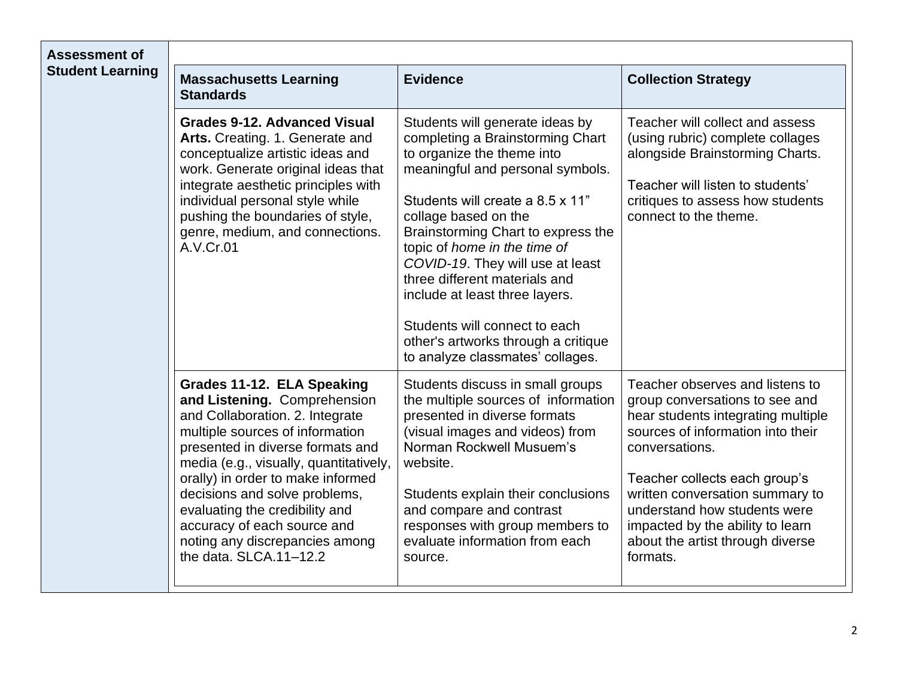| <b>Assessment of</b><br><b>Student Learning</b> |                                                                                                                                                                                                                                                                                                                                                                                                                   |                                                                                                                                                                                                                                                                                                                                                                                                                                                                                            |                                                                                                                                                                                                                                                                                                                                                        |
|-------------------------------------------------|-------------------------------------------------------------------------------------------------------------------------------------------------------------------------------------------------------------------------------------------------------------------------------------------------------------------------------------------------------------------------------------------------------------------|--------------------------------------------------------------------------------------------------------------------------------------------------------------------------------------------------------------------------------------------------------------------------------------------------------------------------------------------------------------------------------------------------------------------------------------------------------------------------------------------|--------------------------------------------------------------------------------------------------------------------------------------------------------------------------------------------------------------------------------------------------------------------------------------------------------------------------------------------------------|
|                                                 | <b>Massachusetts Learning</b><br><b>Standards</b>                                                                                                                                                                                                                                                                                                                                                                 | <b>Evidence</b>                                                                                                                                                                                                                                                                                                                                                                                                                                                                            | <b>Collection Strategy</b>                                                                                                                                                                                                                                                                                                                             |
|                                                 | <b>Grades 9-12. Advanced Visual</b><br>Arts. Creating. 1. Generate and<br>conceptualize artistic ideas and<br>work. Generate original ideas that<br>integrate aesthetic principles with<br>individual personal style while<br>pushing the boundaries of style,<br>genre, medium, and connections.<br>A.V.Cr.01                                                                                                    | Students will generate ideas by<br>completing a Brainstorming Chart<br>to organize the theme into<br>meaningful and personal symbols.<br>Students will create a 8.5 x 11"<br>collage based on the<br>Brainstorming Chart to express the<br>topic of home in the time of<br>COVID-19. They will use at least<br>three different materials and<br>include at least three layers.<br>Students will connect to each<br>other's artworks through a critique<br>to analyze classmates' collages. | Teacher will collect and assess<br>(using rubric) complete collages<br>alongside Brainstorming Charts.<br>Teacher will listen to students'<br>critiques to assess how students<br>connect to the theme.                                                                                                                                                |
|                                                 | Grades 11-12. ELA Speaking<br>and Listening. Comprehension<br>and Collaboration. 2. Integrate<br>multiple sources of information<br>presented in diverse formats and<br>media (e.g., visually, quantitatively,<br>orally) in order to make informed<br>decisions and solve problems,<br>evaluating the credibility and<br>accuracy of each source and<br>noting any discrepancies among<br>the data. SLCA.11-12.2 | Students discuss in small groups<br>the multiple sources of information<br>presented in diverse formats<br>(visual images and videos) from<br>Norman Rockwell Musuem's<br>website.<br>Students explain their conclusions<br>and compare and contrast<br>responses with group members to<br>evaluate information from each<br>source.                                                                                                                                                       | Teacher observes and listens to<br>group conversations to see and<br>hear students integrating multiple<br>sources of information into their<br>conversations.<br>Teacher collects each group's<br>written conversation summary to<br>understand how students were<br>impacted by the ability to learn<br>about the artist through diverse<br>formats. |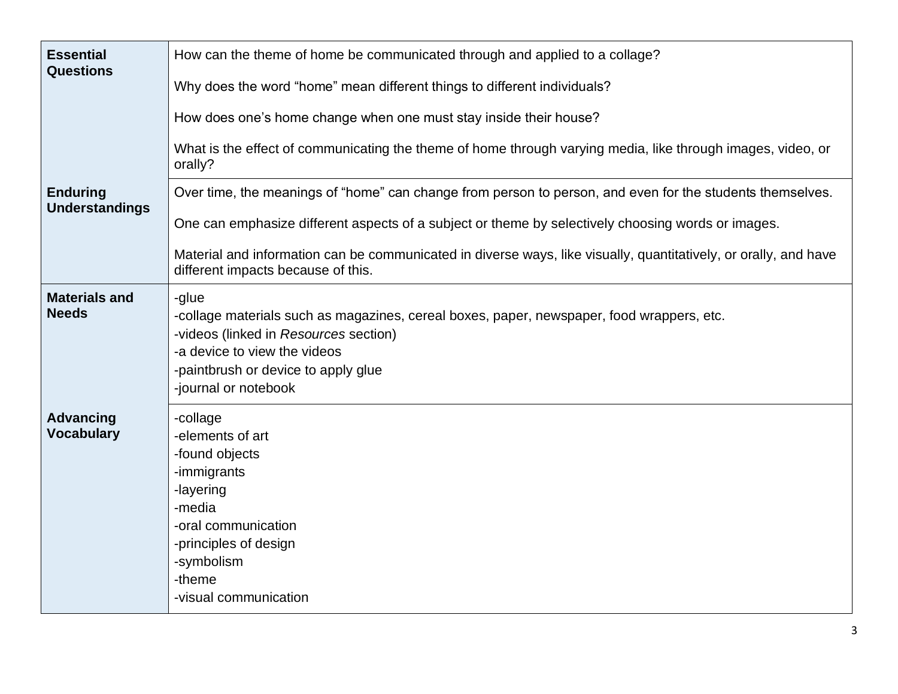| <b>Essential</b><br><b>Questions</b>     | How can the theme of home be communicated through and applied to a collage?<br>Why does the word "home" mean different things to different individuals?<br>How does one's home change when one must stay inside their house?<br>What is the effect of communicating the theme of home through varying media, like through images, video, or<br>orally?                    |  |  |
|------------------------------------------|---------------------------------------------------------------------------------------------------------------------------------------------------------------------------------------------------------------------------------------------------------------------------------------------------------------------------------------------------------------------------|--|--|
| <b>Enduring</b><br><b>Understandings</b> | Over time, the meanings of "home" can change from person to person, and even for the students themselves.<br>One can emphasize different aspects of a subject or theme by selectively choosing words or images.<br>Material and information can be communicated in diverse ways, like visually, quantitatively, or orally, and have<br>different impacts because of this. |  |  |
| <b>Materials and</b><br><b>Needs</b>     | -glue<br>-collage materials such as magazines, cereal boxes, paper, newspaper, food wrappers, etc.<br>-videos (linked in Resources section)<br>-a device to view the videos<br>-paintbrush or device to apply glue<br>-journal or notebook                                                                                                                                |  |  |
| <b>Advancing</b><br><b>Vocabulary</b>    | -collage<br>-elements of art<br>-found objects<br>-immigrants<br>-layering<br>-media<br>-oral communication<br>-principles of design<br>-symbolism<br>-theme<br>-visual communication                                                                                                                                                                                     |  |  |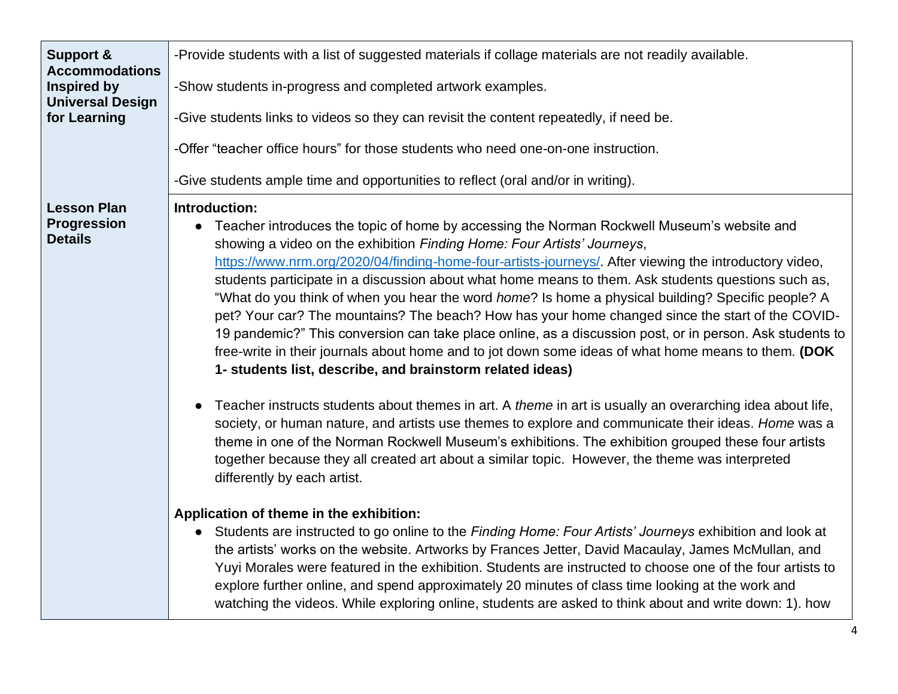| Support &<br><b>Accommodations</b>                         | -Provide students with a list of suggested materials if collage materials are not readily available.                                                                                                                                                                                                                                                                                                                                                                                                                                                                                                                                                                                                                                                                                                                                                                                                                                                                                                                                                                                                                                                                                                                                                                                                                                                                                                                                                                                                                                                                                                                                                                                                                                                                                                                                                                                                                                                             |  |  |
|------------------------------------------------------------|------------------------------------------------------------------------------------------------------------------------------------------------------------------------------------------------------------------------------------------------------------------------------------------------------------------------------------------------------------------------------------------------------------------------------------------------------------------------------------------------------------------------------------------------------------------------------------------------------------------------------------------------------------------------------------------------------------------------------------------------------------------------------------------------------------------------------------------------------------------------------------------------------------------------------------------------------------------------------------------------------------------------------------------------------------------------------------------------------------------------------------------------------------------------------------------------------------------------------------------------------------------------------------------------------------------------------------------------------------------------------------------------------------------------------------------------------------------------------------------------------------------------------------------------------------------------------------------------------------------------------------------------------------------------------------------------------------------------------------------------------------------------------------------------------------------------------------------------------------------------------------------------------------------------------------------------------------------|--|--|
| Inspired by<br><b>Universal Design</b>                     | -Show students in-progress and completed artwork examples.                                                                                                                                                                                                                                                                                                                                                                                                                                                                                                                                                                                                                                                                                                                                                                                                                                                                                                                                                                                                                                                                                                                                                                                                                                                                                                                                                                                                                                                                                                                                                                                                                                                                                                                                                                                                                                                                                                       |  |  |
| for Learning                                               | -Give students links to videos so they can revisit the content repeatedly, if need be.                                                                                                                                                                                                                                                                                                                                                                                                                                                                                                                                                                                                                                                                                                                                                                                                                                                                                                                                                                                                                                                                                                                                                                                                                                                                                                                                                                                                                                                                                                                                                                                                                                                                                                                                                                                                                                                                           |  |  |
|                                                            | -Offer "teacher office hours" for those students who need one-on-one instruction.                                                                                                                                                                                                                                                                                                                                                                                                                                                                                                                                                                                                                                                                                                                                                                                                                                                                                                                                                                                                                                                                                                                                                                                                                                                                                                                                                                                                                                                                                                                                                                                                                                                                                                                                                                                                                                                                                |  |  |
|                                                            | -Give students ample time and opportunities to reflect (oral and/or in writing).                                                                                                                                                                                                                                                                                                                                                                                                                                                                                                                                                                                                                                                                                                                                                                                                                                                                                                                                                                                                                                                                                                                                                                                                                                                                                                                                                                                                                                                                                                                                                                                                                                                                                                                                                                                                                                                                                 |  |  |
| <b>Lesson Plan</b><br><b>Progression</b><br><b>Details</b> | Introduction:<br>• Teacher introduces the topic of home by accessing the Norman Rockwell Museum's website and<br>showing a video on the exhibition Finding Home: Four Artists' Journeys,<br>https://www.nrm.org/2020/04/finding-home-four-artists-journeys/. After viewing the introductory video,<br>students participate in a discussion about what home means to them. Ask students questions such as,<br>"What do you think of when you hear the word <i>home</i> ? Is home a physical building? Specific people? A<br>pet? Your car? The mountains? The beach? How has your home changed since the start of the COVID-<br>19 pandemic?" This conversion can take place online, as a discussion post, or in person. Ask students to<br>free-write in their journals about home and to jot down some ideas of what home means to them. (DOK<br>1- students list, describe, and brainstorm related ideas)<br>Teacher instructs students about themes in art. A theme in art is usually an overarching idea about life,<br>society, or human nature, and artists use themes to explore and communicate their ideas. Home was a<br>theme in one of the Norman Rockwell Museum's exhibitions. The exhibition grouped these four artists<br>together because they all created art about a similar topic. However, the theme was interpreted<br>differently by each artist.<br>Application of theme in the exhibition:<br>Students are instructed to go online to the Finding Home: Four Artists' Journeys exhibition and look at<br>the artists' works on the website. Artworks by Frances Jetter, David Macaulay, James McMullan, and<br>Yuyi Morales were featured in the exhibition. Students are instructed to choose one of the four artists to<br>explore further online, and spend approximately 20 minutes of class time looking at the work and<br>watching the videos. While exploring online, students are asked to think about and write down: 1). how |  |  |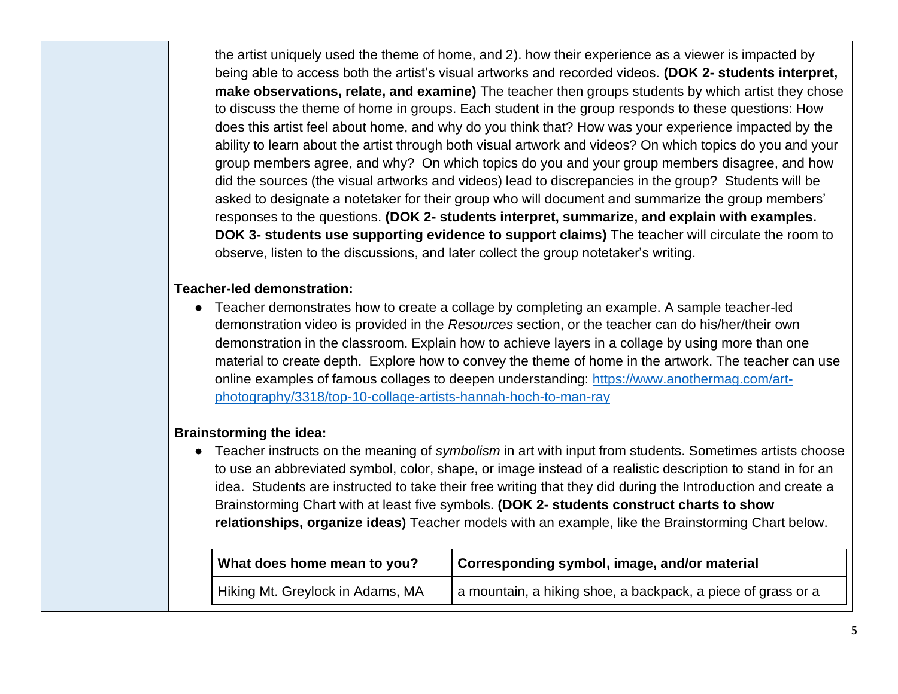the artist uniquely used the theme of home, and 2). how their experience as a viewer is impacted by being able to access both the artist's visual artworks and recorded videos. **(DOK 2- students interpret, make observations, relate, and examine)** The teacher then groups students by which artist they chose to discuss the theme of home in groups. Each student in the group responds to these questions: How does this artist feel about home, and why do you think that? How was your experience impacted by the ability to learn about the artist through both visual artwork and videos? On which topics do you and your group members agree, and why? On which topics do you and your group members disagree, and how did the sources (the visual artworks and videos) lead to discrepancies in the group? Students will be asked to designate a notetaker for their group who will document and summarize the group members' responses to the questions. **(DOK 2- students interpret, summarize, and explain with examples. DOK 3- students use supporting evidence to support claims)** The teacher will circulate the room to observe, listen to the discussions, and later collect the group notetaker's writing.

## **Teacher-led demonstration:**

● Teacher demonstrates how to create a collage by completing an example. A sample teacher-led demonstration video is provided in the *Resources* section, or the teacher can do his/her/their own demonstration in the classroom. Explain how to achieve layers in a collage by using more than one material to create depth. Explore how to convey the theme of home in the artwork. The teacher can use online examples of famous collages to deepen understanding: [https://www.anothermag.com/art](https://www.anothermag.com/art-photography/3318/top-10-collage-artists-hannah-hoch-to-man-ray)[photography/3318/top-10-collage-artists-hannah-hoch-to-man-ray](https://www.anothermag.com/art-photography/3318/top-10-collage-artists-hannah-hoch-to-man-ray)

## **Brainstorming the idea:**

● Teacher instructs on the meaning of *symbolism* in art with input from students. Sometimes artists choose to use an abbreviated symbol, color, shape, or image instead of a realistic description to stand in for an idea. Students are instructed to take their free writing that they did during the Introduction and create a Brainstorming Chart with at least five symbols. **(DOK 2- students construct charts to show relationships, organize ideas)** Teacher models with an example, like the Brainstorming Chart below.

| What does home mean to you?      | Corresponding symbol, image, and/or material                 |  |
|----------------------------------|--------------------------------------------------------------|--|
| Hiking Mt. Greylock in Adams, MA | a mountain, a hiking shoe, a backpack, a piece of grass or a |  |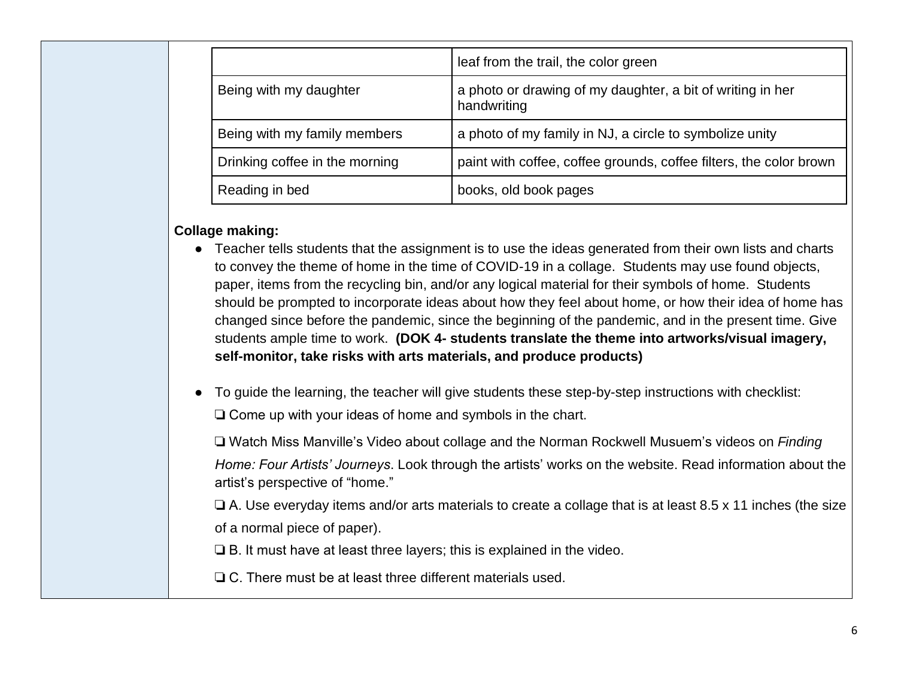|                                | leaf from the trail, the color green                                      |  |
|--------------------------------|---------------------------------------------------------------------------|--|
| Being with my daughter         | a photo or drawing of my daughter, a bit of writing in her<br>handwriting |  |
| Being with my family members   | a photo of my family in NJ, a circle to symbolize unity                   |  |
| Drinking coffee in the morning | paint with coffee, coffee grounds, coffee filters, the color brown        |  |
| Reading in bed                 | books, old book pages                                                     |  |

## **Collage making:**

- Teacher tells students that the assignment is to use the ideas generated from their own lists and charts to convey the theme of home in the time of COVID-19 in a collage. Students may use found objects, paper, items from the recycling bin, and/or any logical material for their symbols of home. Students should be prompted to incorporate ideas about how they feel about home, or how their idea of home has changed since before the pandemic, since the beginning of the pandemic, and in the present time. Give students ample time to work. **(DOK 4- students translate the theme into artworks/visual imagery, self-monitor, take risks with arts materials, and produce products)**
- To guide the learning, the teacher will give students these step-by-step instructions with checklist: ❏ Come up with your ideas of home and symbols in the chart.

❏ Watch Miss Manville's Video about collage and the Norman Rockwell Musuem's videos on *Finding Home: Four Artists' Journeys*. Look through the artists' works on the website. Read information about the artist's perspective of "home."

❏ A. Use everyday items and/or arts materials to create a collage that is at least 8.5 x 11 inches (the size of a normal piece of paper).

❏ B. It must have at least three layers; this is explained in the video.

❏ C. There must be at least three different materials used.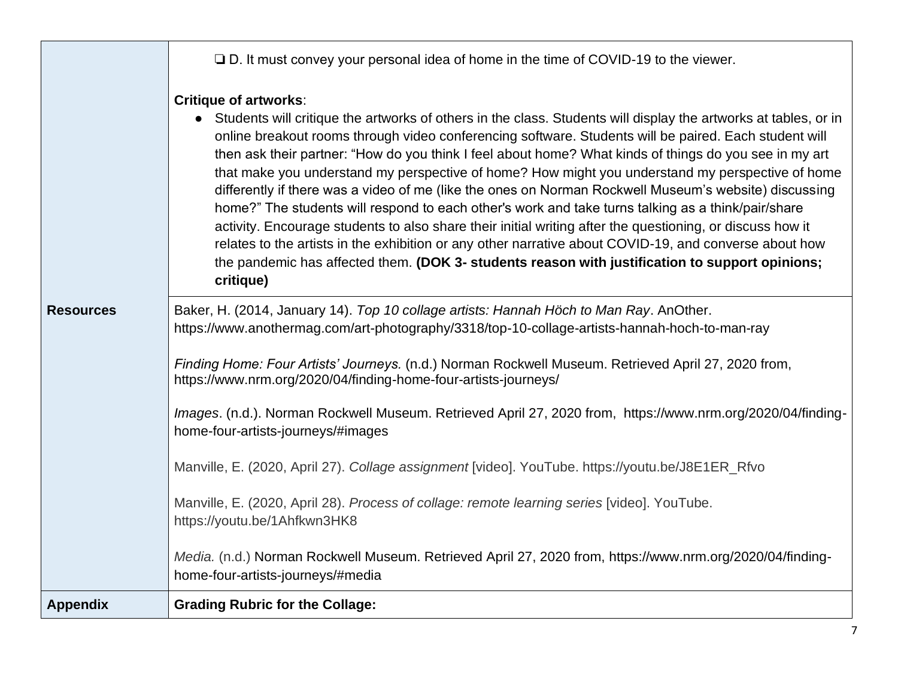|                  | $\Box$ D. It must convey your personal idea of home in the time of COVID-19 to the viewer.                                                                                                                                                                                                                                                                                                                                                                                                                                                                                                                                                                                                                                                                                                                                                                                                                                                                                                                                     |
|------------------|--------------------------------------------------------------------------------------------------------------------------------------------------------------------------------------------------------------------------------------------------------------------------------------------------------------------------------------------------------------------------------------------------------------------------------------------------------------------------------------------------------------------------------------------------------------------------------------------------------------------------------------------------------------------------------------------------------------------------------------------------------------------------------------------------------------------------------------------------------------------------------------------------------------------------------------------------------------------------------------------------------------------------------|
|                  | <b>Critique of artworks:</b><br>• Students will critique the artworks of others in the class. Students will display the artworks at tables, or in<br>online breakout rooms through video conferencing software. Students will be paired. Each student will<br>then ask their partner: "How do you think I feel about home? What kinds of things do you see in my art<br>that make you understand my perspective of home? How might you understand my perspective of home<br>differently if there was a video of me (like the ones on Norman Rockwell Museum's website) discussing<br>home?" The students will respond to each other's work and take turns talking as a think/pair/share<br>activity. Encourage students to also share their initial writing after the questioning, or discuss how it<br>relates to the artists in the exhibition or any other narrative about COVID-19, and converse about how<br>the pandemic has affected them. (DOK 3- students reason with justification to support opinions;<br>critique) |
| <b>Resources</b> | Baker, H. (2014, January 14). Top 10 collage artists: Hannah Höch to Man Ray. AnOther.<br>https://www.anothermag.com/art-photography/3318/top-10-collage-artists-hannah-hoch-to-man-ray                                                                                                                                                                                                                                                                                                                                                                                                                                                                                                                                                                                                                                                                                                                                                                                                                                        |
|                  | Finding Home: Four Artists' Journeys. (n.d.) Norman Rockwell Museum. Retrieved April 27, 2020 from,<br>https://www.nrm.org/2020/04/finding-home-four-artists-journeys/                                                                                                                                                                                                                                                                                                                                                                                                                                                                                                                                                                                                                                                                                                                                                                                                                                                         |
|                  | Images. (n.d.). Norman Rockwell Museum. Retrieved April 27, 2020 from, https://www.nrm.org/2020/04/finding-<br>home-four-artists-journeys/#images                                                                                                                                                                                                                                                                                                                                                                                                                                                                                                                                                                                                                                                                                                                                                                                                                                                                              |
|                  | Manville, E. (2020, April 27). Collage assignment [video]. YouTube. https://youtu.be/J8E1ER_Rfvo                                                                                                                                                                                                                                                                                                                                                                                                                                                                                                                                                                                                                                                                                                                                                                                                                                                                                                                               |
|                  | Manville, E. (2020, April 28). Process of collage: remote learning series [video]. YouTube.<br>https://youtu.be/1Ahfkwn3HK8                                                                                                                                                                                                                                                                                                                                                                                                                                                                                                                                                                                                                                                                                                                                                                                                                                                                                                    |
|                  | Media. (n.d.) Norman Rockwell Museum. Retrieved April 27, 2020 from, https://www.nrm.org/2020/04/finding-<br>home-four-artists-journeys/#media                                                                                                                                                                                                                                                                                                                                                                                                                                                                                                                                                                                                                                                                                                                                                                                                                                                                                 |
| <b>Appendix</b>  | <b>Grading Rubric for the Collage:</b>                                                                                                                                                                                                                                                                                                                                                                                                                                                                                                                                                                                                                                                                                                                                                                                                                                                                                                                                                                                         |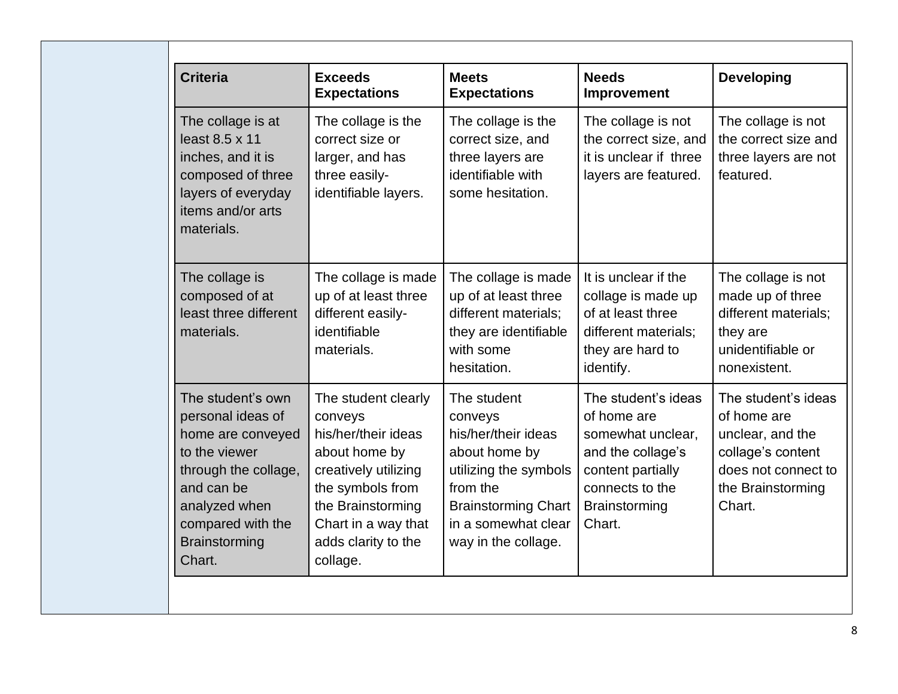| <b>Criteria</b>                                                                                                                                                                            | <b>Exceeds</b><br><b>Expectations</b>                                                                                                                                                             | <b>Meets</b><br><b>Expectations</b>                                                                                                                                             | <b>Needs</b><br><b>Improvement</b>                                                                                                                     | <b>Developing</b>                                                                                                                 |
|--------------------------------------------------------------------------------------------------------------------------------------------------------------------------------------------|---------------------------------------------------------------------------------------------------------------------------------------------------------------------------------------------------|---------------------------------------------------------------------------------------------------------------------------------------------------------------------------------|--------------------------------------------------------------------------------------------------------------------------------------------------------|-----------------------------------------------------------------------------------------------------------------------------------|
| The collage is at<br>least 8.5 x 11<br>inches, and it is<br>composed of three<br>layers of everyday<br>items and/or arts<br>materials.                                                     | The collage is the<br>correct size or<br>larger, and has<br>three easily-<br>identifiable layers.                                                                                                 | The collage is the<br>correct size, and<br>three layers are<br>identifiable with<br>some hesitation.                                                                            | The collage is not<br>the correct size, and<br>it is unclear if three<br>layers are featured.                                                          | The collage is not<br>the correct size and<br>three layers are not<br>featured.                                                   |
| The collage is<br>composed of at<br>least three different<br>materials.                                                                                                                    | The collage is made<br>up of at least three<br>different easily-<br>identifiable<br>materials.                                                                                                    | The collage is made<br>up of at least three<br>different materials;<br>they are identifiable<br>with some<br>hesitation.                                                        | It is unclear if the<br>collage is made up<br>of at least three<br>different materials;<br>they are hard to<br>identify.                               | The collage is not<br>made up of three<br>different materials;<br>they are<br>unidentifiable or<br>nonexistent.                   |
| The student's own<br>personal ideas of<br>home are conveyed<br>to the viewer<br>through the collage,<br>and can be<br>analyzed when<br>compared with the<br><b>Brainstorming</b><br>Chart. | The student clearly<br>conveys<br>his/her/their ideas<br>about home by<br>creatively utilizing<br>the symbols from<br>the Brainstorming<br>Chart in a way that<br>adds clarity to the<br>collage. | The student<br>conveys<br>his/her/their ideas<br>about home by<br>utilizing the symbols<br>from the<br><b>Brainstorming Chart</b><br>in a somewhat clear<br>way in the collage. | The student's ideas<br>of home are<br>somewhat unclear,<br>and the collage's<br>content partially<br>connects to the<br><b>Brainstorming</b><br>Chart. | The student's ideas<br>of home are<br>unclear, and the<br>collage's content<br>does not connect to<br>the Brainstorming<br>Chart. |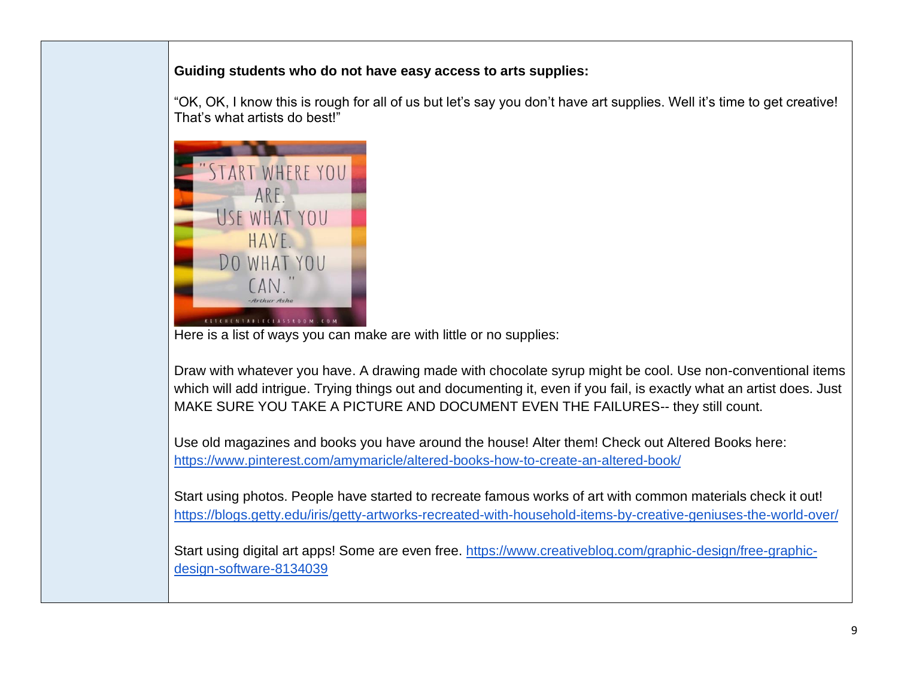## **Guiding students who do not have easy access to arts supplies:**

"OK, OK, I know this is rough for all of us but let's say you don't have art supplies. Well it's time to get creative! That's what artists do best!"



Here is a list of ways you can make are with little or no supplies:

Draw with whatever you have. A drawing made with chocolate syrup might be cool. Use non-conventional items which will add intrigue. Trying things out and documenting it, even if you fail, is exactly what an artist does. Just MAKE SURE YOU TAKE A PICTURE AND DOCUMENT EVEN THE FAILURES-- they still count.

Use old magazines and books you have around the house! Alter them! Check out Altered Books here: <https://www.pinterest.com/amymaricle/altered-books-how-to-create-an-altered-book/>

Start using photos. People have started to recreate famous works of art with common materials check it out! <https://blogs.getty.edu/iris/getty-artworks-recreated-with-household-items-by-creative-geniuses-the-world-over/>

Start using digital art apps! Some are even free. https://www.creativeblog.com/graphic-design/free-graphic[design-software-8134039](https://www.creativebloq.com/graphic-design/free-graphic-design-software-8134039)